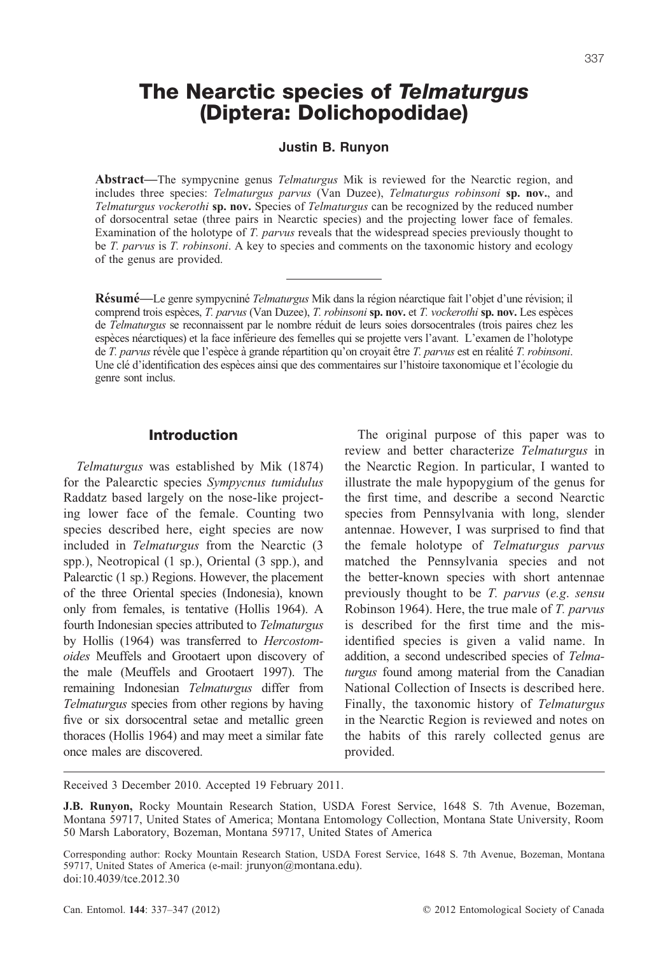# The Nearctic species of Telmaturgus (Diptera: Dolichopodidae)

### Justin B. Runyon

**Abstract—**The sympycnine genus *Telmaturgus* Mik is reviewed for the Nearctic region, and includes three species: *Telmaturgus parvus* (Van Duzee), *Telmaturgus robinsoni* **sp. nov.**, and *Telmaturgus vockerothi* **sp. nov.** Species of *Telmaturgus* can be recognized by the reduced number of dorsocentral setae (three pairs in Nearctic species) and the projecting lower face of females. Examination of the holotype of *T. parvus* reveals that the widespread species previously thought to be *T. parvus* is *T. robinsoni*. A key to species and comments on the taxonomic history and ecology of the genus are provided.

**Résumé**—Le genre sympycniné *Telmaturgus* Mik dans la région néarctique fait l'objet d'une révision; il comprend trois espèces, *T. parvus* (Van Duzee), *T. robinsoni* **sp. nov.** et *T. vockerothi* **sp. nov.** Les espèces de *Telmaturgus* se reconnaissent par le nombre réduit de leurs soies dorsocentrales (trois paires chez les espèces néarctiques) et la face inférieure des femelles qui se projette vers l'avant. L'examen de l'holotype de *T. parvus* révèle que l'espèce à grande répartition qu'on croyait être *T. parvus* est en réalité *T. robinsoni*. Une clé d'identification des espèces ainsi que des commentaires sur l'histoire taxonomique et l'écologie du genre sont inclus.

## Introduction

*Telmaturgus* was established by Mik (1874) for the Palearctic species *Sympycnus tumidulus* Raddatz based largely on the nose-like projecting lower face of the female. Counting two species described here, eight species are now included in *Telmaturgus* from the Nearctic (3 spp.), Neotropical (1 sp.), Oriental (3 spp.), and Palearctic (1 sp.) Regions. However, the placement of the three Oriental species (Indonesia), known only from females, is tentative (Hollis 1964). A fourth Indonesian species attributed to *Telmaturgus* by Hollis (1964) was transferred to *Hercostomoides* Meuffels and Grootaert upon discovery of the male (Meuffels and Grootaert 1997). The remaining Indonesian *Telmaturgus* differ from *Telmaturgus* species from other regions by having five or six dorsocentral setae and metallic green thoraces (Hollis 1964) and may meet a similar fate once males are discovered.

The original purpose of this paper was to review and better characterize *Telmaturgus* in the Nearctic Region. In particular, I wanted to illustrate the male hypopygium of the genus for the first time, and describe a second Nearctic species from Pennsylvania with long, slender antennae. However, I was surprised to find that the female holotype of *Telmaturgus parvus* matched the Pennsylvania species and not the better-known species with short antennae previously thought to be *T. parvus* (*e.g*. *sensu* Robinson 1964). Here, the true male of *T. parvus* is described for the first time and the misidentified species is given a valid name. In addition, a second undescribed species of *Telmaturgus* found among material from the Canadian National Collection of Insects is described here. Finally, the taxonomic history of *Telmaturgus* in the Nearctic Region is reviewed and notes on the habits of this rarely collected genus are provided.

Received 3 December 2010. Accepted 19 February 2011.

Can. Entomol. **144**: 337–347 (2012) -

**J.B. Runyon,** Rocky Mountain Research Station, USDA Forest Service, 1648 S. 7th Avenue, Bozeman, Montana 59717, United States of America; Montana Entomology Collection, Montana State University, Room 50 Marsh Laboratory, Bozeman, Montana 59717, United States of America

Corresponding author: Rocky Mountain Research Station, USDA Forest Service, 1648 S. 7th Avenue, Bozeman, Montana 59717, United States of America (e-mail: jrunyon@montana.edu). doi:10.4039/tce.2012.30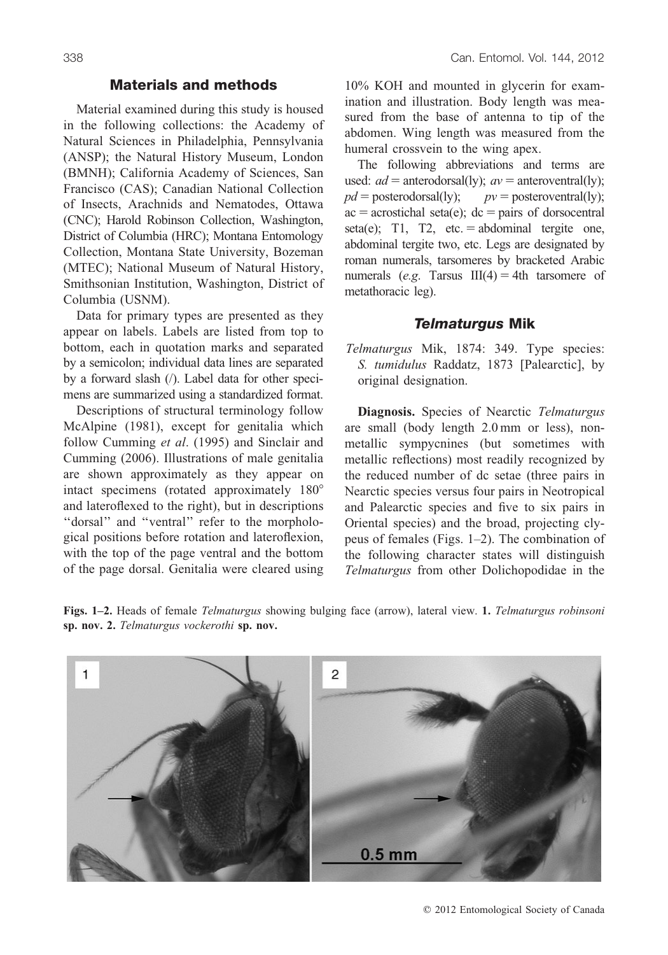### Materials and methods

Material examined during this study is housed in the following collections: the Academy of Natural Sciences in Philadelphia, Pennsylvania (ANSP); the Natural History Museum, London (BMNH); California Academy of Sciences, San Francisco (CAS); Canadian National Collection of Insects, Arachnids and Nematodes, Ottawa (CNC); Harold Robinson Collection, Washington, District of Columbia (HRC); Montana Entomology Collection, Montana State University, Bozeman (MTEC); National Museum of Natural History, Smithsonian Institution, Washington, District of Columbia (USNM).

Data for primary types are presented as they appear on labels. Labels are listed from top to bottom, each in quotation marks and separated by a semicolon; individual data lines are separated by a forward slash (/). Label data for other specimens are summarized using a standardized format.

Descriptions of structural terminology follow McAlpine (1981), except for genitalia which follow Cumming *et al*. (1995) and Sinclair and Cumming (2006). Illustrations of male genitalia are shown approximately as they appear on intact specimens (rotated approximately  $180^\circ$ and lateroflexed to the right), but in descriptions "dorsal" and "ventral" refer to the morphological positions before rotation and lateroflexion, with the top of the page ventral and the bottom of the page dorsal. Genitalia were cleared using

10% KOH and mounted in glycerin for examination and illustration. Body length was measured from the base of antenna to tip of the abdomen. Wing length was measured from the humeral crossvein to the wing apex.

The following abbreviations and terms are used:  $ad =$  anterodorsal(ly);  $av =$  anteroventral(ly);  $pd =$  posterodorsal(ly);  $pv =$  posteroventral(ly);  $ac = acrostichal seta(e); dc = pairs of dorsocentral$ seta(e); T1, T2, etc.  $=$  abdominal tergite one, abdominal tergite two, etc. Legs are designated by roman numerals, tarsomeres by bracketed Arabic numerals (*e.g.* Tarsus  $III(4) = 4$ th tarsomere of metathoracic leg).

### Telmaturgus Mik

*Telmaturgus* Mik, 1874: 349. Type species: *S. tumidulus* Raddatz, 1873 [Palearctic], by original designation.

**Diagnosis.** Species of Nearctic *Telmaturgus* are small (body length 2.0 mm or less), nonmetallic sympycnines (but sometimes with metallic reflections) most readily recognized by the reduced number of dc setae (three pairs in Nearctic species versus four pairs in Neotropical and Palearctic species and five to six pairs in Oriental species) and the broad, projecting clypeus of females (Figs. 1–2). The combination of the following character states will distinguish *Telmaturgus* from other Dolichopodidae in the



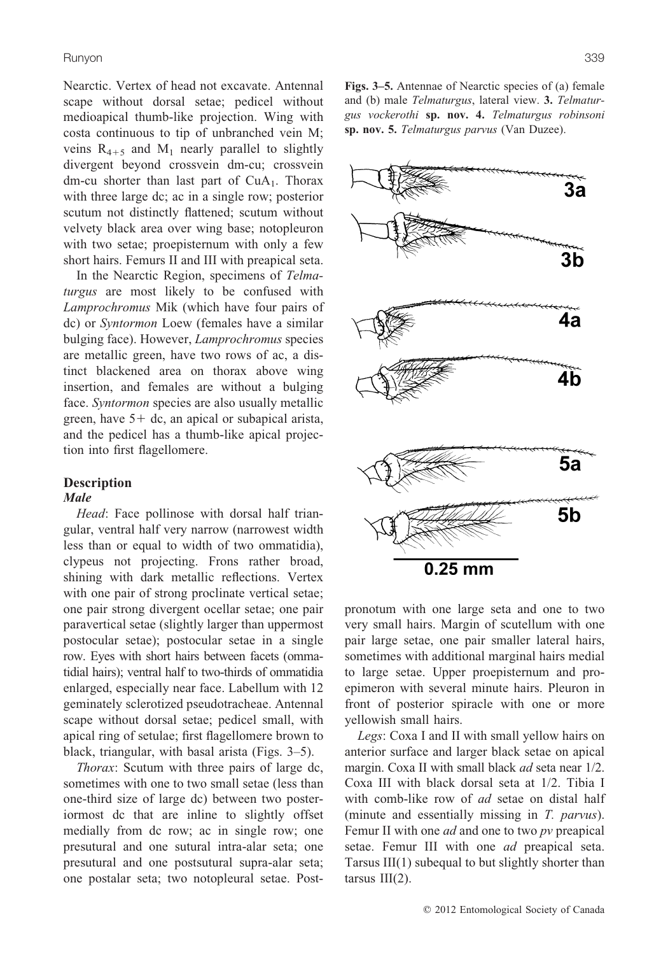Runyon 339

Nearctic. Vertex of head not excavate. Antennal scape without dorsal setae; pedicel without medioapical thumb-like projection. Wing with costa continuous to tip of unbranched vein M; veins  $R_{4+5}$  and  $M_1$  nearly parallel to slightly divergent beyond crossvein dm-cu; crossvein dm-cu shorter than last part of  $CuA<sub>1</sub>$ . Thorax with three large dc; ac in a single row; posterior scutum not distinctly flattened; scutum without velvety black area over wing base; notopleuron with two setae; proepisternum with only a few short hairs. Femurs II and III with preapical seta.

In the Nearctic Region, specimens of *Telmaturgus* are most likely to be confused with *Lamprochromus* Mik (which have four pairs of dc) or *Syntormon* Loew (females have a similar bulging face). However, *Lamprochromus* species are metallic green, have two rows of ac, a distinct blackened area on thorax above wing insertion, and females are without a bulging face. *Syntormon* species are also usually metallic green, have  $5+$  dc, an apical or subapical arista, and the pedicel has a thumb-like apical projection into first flagellomere.

# **Description**

### **Male**

*Head*: Face pollinose with dorsal half triangular, ventral half very narrow (narrowest width less than or equal to width of two ommatidia), clypeus not projecting. Frons rather broad, shining with dark metallic reflections. Vertex with one pair of strong proclinate vertical setae; one pair strong divergent ocellar setae; one pair paravertical setae (slightly larger than uppermost postocular setae); postocular setae in a single row. Eyes with short hairs between facets (ommatidial hairs); ventral half to two-thirds of ommatidia enlarged, especially near face. Labellum with 12 geminately sclerotized pseudotracheae. Antennal scape without dorsal setae; pedicel small, with apical ring of setulae; first flagellomere brown to black, triangular, with basal arista (Figs. 3–5).

*Thorax*: Scutum with three pairs of large dc, sometimes with one to two small setae (less than one-third size of large dc) between two posteriormost dc that are inline to slightly offset medially from dc row; ac in single row; one presutural and one sutural intra-alar seta; one presutural and one postsutural supra-alar seta; one postalar seta; two notopleural setae. Post**Figs. 3–5.** Antennae of Nearctic species of (a) female and (b) male *Telmaturgus*, lateral view. **3.** *Telmaturgus vockerothi* **sp. nov. 4.** *Telmaturgus robinsoni* **sp. nov. 5.** *Telmaturgus parvus* (Van Duzee).



pronotum with one large seta and one to two very small hairs. Margin of scutellum with one pair large setae, one pair smaller lateral hairs, sometimes with additional marginal hairs medial to large setae. Upper proepisternum and proepimeron with several minute hairs. Pleuron in front of posterior spiracle with one or more yellowish small hairs.

*Legs*: Coxa I and II with small yellow hairs on anterior surface and larger black setae on apical margin. Coxa II with small black *ad* seta near 1/2. Coxa III with black dorsal seta at 1/2. Tibia I with comb-like row of *ad* setae on distal half (minute and essentially missing in *T. parvus*). Femur II with one *ad* and one to two *pv* preapical setae. Femur III with one *ad* preapical seta. Tarsus III(1) subequal to but slightly shorter than tarsus  $III(2)$ .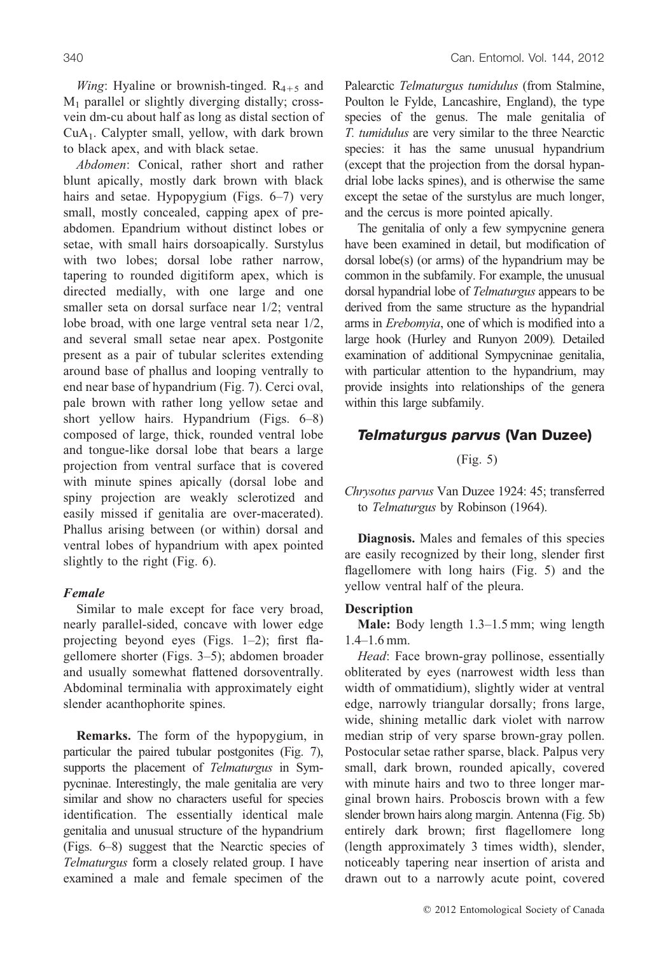*Wing*: Hyaline or brownish-tinged.  $R_{4+5}$  and  $M_1$  parallel or slightly diverging distally; crossvein dm-cu about half as long as distal section of  $CuA<sub>1</sub>$ . Calypter small, yellow, with dark brown to black apex, and with black setae.

*Abdomen*: Conical, rather short and rather blunt apically, mostly dark brown with black hairs and setae. Hypopygium (Figs. 6–7) very small, mostly concealed, capping apex of preabdomen. Epandrium without distinct lobes or setae, with small hairs dorsoapically. Surstylus with two lobes; dorsal lobe rather narrow, tapering to rounded digitiform apex, which is directed medially, with one large and one smaller seta on dorsal surface near 1/2; ventral lobe broad, with one large ventral seta near 1/2, and several small setae near apex. Postgonite present as a pair of tubular sclerites extending around base of phallus and looping ventrally to end near base of hypandrium (Fig. 7). Cerci oval, pale brown with rather long yellow setae and short yellow hairs. Hypandrium (Figs. 6–8) composed of large, thick, rounded ventral lobe and tongue-like dorsal lobe that bears a large projection from ventral surface that is covered with minute spines apically (dorsal lobe and spiny projection are weakly sclerotized and easily missed if genitalia are over-macerated). Phallus arising between (or within) dorsal and ventral lobes of hypandrium with apex pointed slightly to the right (Fig. 6).

### **Female**

Similar to male except for face very broad, nearly parallel-sided, concave with lower edge projecting beyond eyes (Figs. 1–2); first flagellomere shorter (Figs. 3–5); abdomen broader and usually somewhat flattened dorsoventrally. Abdominal terminalia with approximately eight slender acanthophorite spines.

**Remarks.** The form of the hypopygium, in particular the paired tubular postgonites (Fig. 7), supports the placement of *Telmaturgus* in Sympycninae. Interestingly, the male genitalia are very similar and show no characters useful for species identification. The essentially identical male genitalia and unusual structure of the hypandrium (Figs. 6–8) suggest that the Nearctic species of *Telmaturgus* form a closely related group. I have examined a male and female specimen of the

Palearctic *Telmaturgus tumidulus* (from Stalmine, Poulton le Fylde, Lancashire, England), the type species of the genus. The male genitalia of *T. tumidulus* are very similar to the three Nearctic species: it has the same unusual hypandrium (except that the projection from the dorsal hypandrial lobe lacks spines), and is otherwise the same except the setae of the surstylus are much longer, and the cercus is more pointed apically.

The genitalia of only a few sympycnine genera have been examined in detail, but modification of dorsal lobe(s) (or arms) of the hypandrium may be common in the subfamily. For example, the unusual dorsal hypandrial lobe of *Telmaturgus* appears to be derived from the same structure as the hypandrial arms in *Erebomyia*, one of which is modified into a large hook (Hurley and Runyon 2009)*.* Detailed examination of additional Sympycninae genitalia, with particular attention to the hypandrium, may provide insights into relationships of the genera within this large subfamily.

# Telmaturgus parvus (Van Duzee)

(Fig. 5)

*Chrysotus parvus* Van Duzee 1924: 45; transferred to *Telmaturgus* by Robinson (1964).

**Diagnosis.** Males and females of this species are easily recognized by their long, slender first flagellomere with long hairs (Fig. 5) and the yellow ventral half of the pleura.

#### **Description**

**Male:** Body length 1.3–1.5 mm; wing length 1.4–1.6 mm.

*Head*: Face brown-gray pollinose, essentially obliterated by eyes (narrowest width less than width of ommatidium), slightly wider at ventral edge, narrowly triangular dorsally; frons large, wide, shining metallic dark violet with narrow median strip of very sparse brown-gray pollen. Postocular setae rather sparse, black. Palpus very small, dark brown, rounded apically, covered with minute hairs and two to three longer marginal brown hairs. Proboscis brown with a few slender brown hairs along margin. Antenna (Fig. 5b) entirely dark brown; first flagellomere long (length approximately 3 times width), slender, noticeably tapering near insertion of arista and drawn out to a narrowly acute point, covered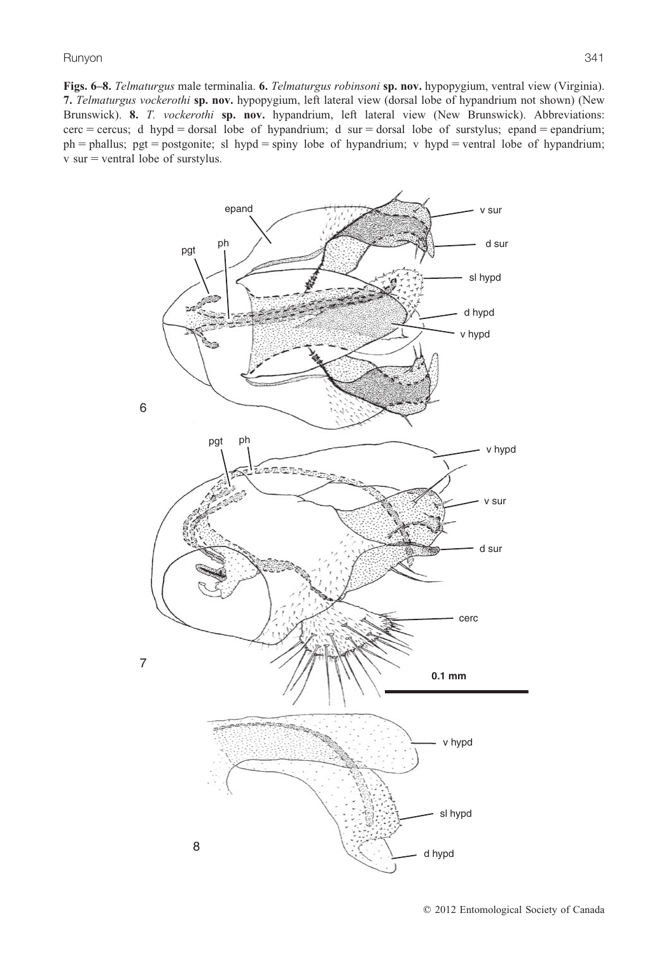**Figs. 6–8.** *Telmaturgus* male terminalia. **6.** *Telmaturgus robinsoni* **sp. nov.** hypopygium, ventral view (Virginia). **7.** *Telmaturgus vockerothi* **sp. nov.** hypopygium, left lateral view (dorsal lobe of hypandrium not shown) (New Brunswick). **8.** *T. vockerothi* **sp. nov.** hypandrium, left lateral view (New Brunswick). Abbreviations:  $cerc = cercus$ ; d hypd  $=$  dorsal lobe of hypandrium; d sur  $=$  dorsal lobe of surstylus; epand  $=$  epandrium;  $ph =$  phallus; pgt = postgonite; sl hypd = spiny lobe of hypandrium; v hypd = ventral lobe of hypandrium;  $v \text{ sur } = \text{ventral lobe of surstylus.}$ 

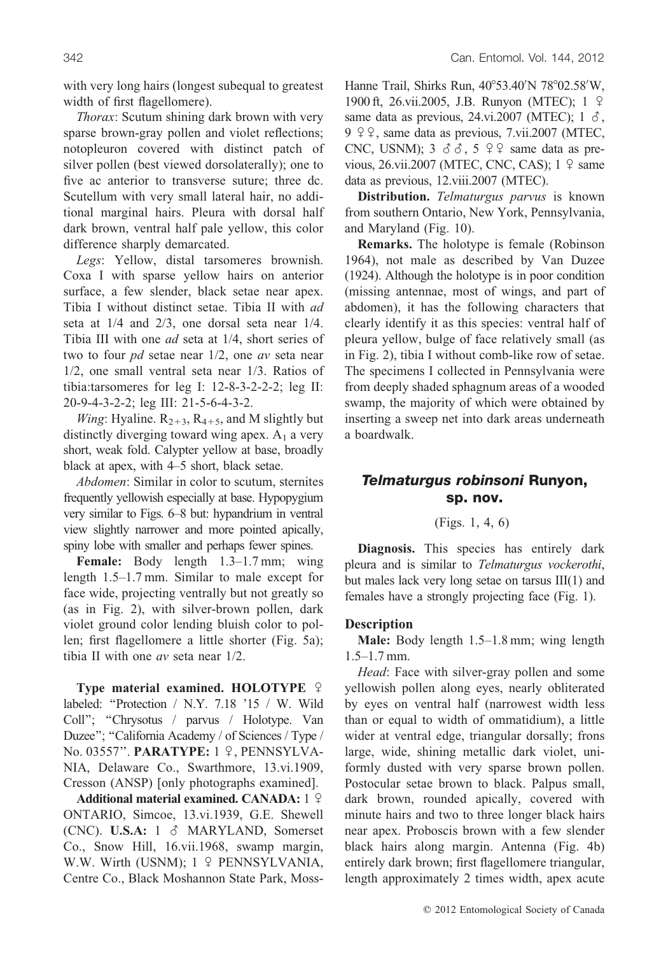with very long hairs (longest subequal to greatest width of first flagellomere).

*Thorax*: Scutum shining dark brown with very sparse brown-gray pollen and violet reflections; notopleuron covered with distinct patch of silver pollen (best viewed dorsolaterally); one to five ac anterior to transverse suture; three dc. Scutellum with very small lateral hair, no additional marginal hairs. Pleura with dorsal half dark brown, ventral half pale yellow, this color difference sharply demarcated.

*Legs*: Yellow, distal tarsomeres brownish. Coxa I with sparse yellow hairs on anterior surface, a few slender, black setae near apex. Tibia I without distinct setae. Tibia II with *ad* seta at 1/4 and 2/3, one dorsal seta near 1/4. Tibia III with one *ad* seta at 1/4, short series of two to four *pd* setae near 1/2, one *av* seta near 1/2, one small ventral seta near 1/3. Ratios of tibia:tarsomeres for leg I: 12-8-3-2-2-2; leg II: 20-9-4-3-2-2; leg III: 21-5-6-4-3-2.

*Wing*: Hyaline.  $R_{2+3}$ ,  $R_{4+5}$ , and M slightly but distinctly diverging toward wing apex.  $A_1$  a very short, weak fold. Calypter yellow at base, broadly black at apex, with 4–5 short, black setae.

*Abdomen*: Similar in color to scutum, sternites frequently yellowish especially at base. Hypopygium very similar to Figs. 6–8 but: hypandrium in ventral view slightly narrower and more pointed apically, spiny lobe with smaller and perhaps fewer spines.

Female: Body length 1.3–1.7 mm; wing length 1.5–1.7 mm. Similar to male except for face wide, projecting ventrally but not greatly so (as in Fig. 2), with silver-brown pollen, dark violet ground color lending bluish color to pollen; first flagellomere a little shorter (Fig. 5a); tibia II with one *av* seta near 1/2.

**Type material examined. HOLOTYPE** ? labeled: "Protection / N.Y. 7.18 '15 / W. Wild Coll''; ''Chrysotus / parvus / Holotype. Van Duzee"; "California Academy / of Sciences / Type / No. 03557''. **PARATYPE:** 1 ~, PENNSYLVA-NIA, Delaware Co., Swarthmore, 13.vi.1909, Cresson (ANSP) [only photographs examined].

**Additional material examined. CANADA:** 1 º ONTARIO, Simcoe, 13.vi.1939, G.E. Shewell (CNC). **U.S.A:**  $1 \&$  MARYLAND, Somerset Co., Snow Hill, 16.vii.1968, swamp margin, W.W. Wirth (USNM); 1 º PENNSYLVANIA, Centre Co., Black Moshannon State Park, Moss-

Hanne Trail, Shirks Run, 40°53.40'N 78°02.58'W, 1900 ft, 26.vii.2005, J.B. Runyon (MTEC); 1 ~ same data as previous, 24.vi.2007 (MTEC);  $1 \delta$ ,  $9 \nvert \varphi \varphi$ , same data as previous, 7.vii.2007 (MTEC, CNC, USNM); 3 ##, 5 ~~ same data as previous, 26.vii.2007 (MTEC, CNC, CAS);  $1 \nvert 2$  same data as previous, 12.viii.2007 (MTEC).

**Distribution.** *Telmaturgus parvus* is known from southern Ontario, New York, Pennsylvania, and Maryland (Fig. 10).

**Remarks.** The holotype is female (Robinson 1964), not male as described by Van Duzee (1924). Although the holotype is in poor condition (missing antennae, most of wings, and part of abdomen), it has the following characters that clearly identify it as this species: ventral half of pleura yellow, bulge of face relatively small (as in Fig. 2), tibia I without comb-like row of setae. The specimens I collected in Pennsylvania were from deeply shaded sphagnum areas of a wooded swamp, the majority of which were obtained by inserting a sweep net into dark areas underneath a boardwalk.

# Telmaturgus robinsoni Runyon, sp. nov.

(Figs. 1, 4, 6)

**Diagnosis.** This species has entirely dark pleura and is similar to *Telmaturgus vockerothi*, but males lack very long setae on tarsus III(1) and females have a strongly projecting face (Fig. 1).

# **Description**

**Male:** Body length 1.5–1.8 mm; wing length 1.5–1.7 mm.

*Head*: Face with silver-gray pollen and some yellowish pollen along eyes, nearly obliterated by eyes on ventral half (narrowest width less than or equal to width of ommatidium), a little wider at ventral edge, triangular dorsally; frons large, wide, shining metallic dark violet, uniformly dusted with very sparse brown pollen. Postocular setae brown to black. Palpus small, dark brown, rounded apically, covered with minute hairs and two to three longer black hairs near apex. Proboscis brown with a few slender black hairs along margin. Antenna (Fig. 4b) entirely dark brown; first flagellomere triangular, length approximately 2 times width, apex acute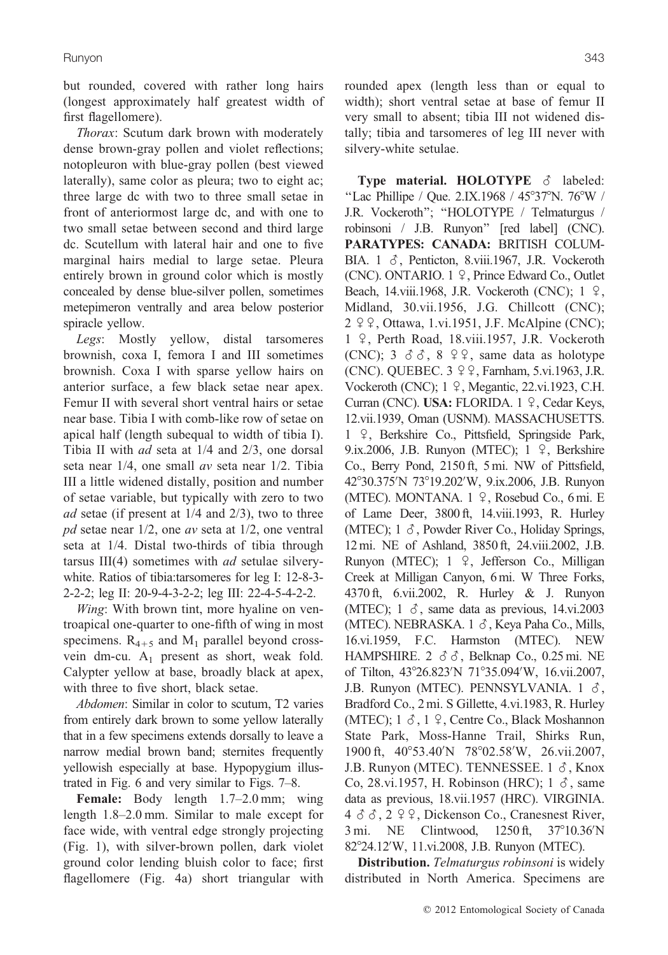but rounded, covered with rather long hairs (longest approximately half greatest width of first flagellomere).

*Thorax*: Scutum dark brown with moderately dense brown-gray pollen and violet reflections; notopleuron with blue-gray pollen (best viewed laterally), same color as pleura; two to eight ac; three large dc with two to three small setae in front of anteriormost large dc, and with one to two small setae between second and third large dc. Scutellum with lateral hair and one to five marginal hairs medial to large setae. Pleura entirely brown in ground color which is mostly concealed by dense blue-silver pollen, sometimes metepimeron ventrally and area below posterior spiracle yellow.

*Legs*: Mostly yellow, distal tarsomeres brownish, coxa I, femora I and III sometimes brownish. Coxa I with sparse yellow hairs on anterior surface, a few black setae near apex. Femur II with several short ventral hairs or setae near base. Tibia I with comb-like row of setae on apical half (length subequal to width of tibia I). Tibia II with *ad* seta at 1/4 and 2/3, one dorsal seta near 1/4, one small *av* seta near 1/2. Tibia III a little widened distally, position and number of setae variable, but typically with zero to two *ad* setae (if present at 1/4 and 2/3), two to three *pd* setae near 1/2, one *av* seta at 1/2, one ventral seta at 1/4. Distal two-thirds of tibia through tarsus III(4) sometimes with *ad* setulae silverywhite. Ratios of tibia:tarsomeres for leg I: 12-8-3- 2-2-2; leg II: 20-9-4-3-2-2; leg III: 22-4-5-4-2-2.

*Wing*: With brown tint, more hyaline on ventroapical one-quarter to one-fifth of wing in most specimens.  $R_{4+5}$  and  $M_1$  parallel beyond crossvein dm-cu.  $A_1$  present as short, weak fold. Calypter yellow at base, broadly black at apex, with three to five short, black setae.

*Abdomen*: Similar in color to scutum, T2 varies from entirely dark brown to some yellow laterally that in a few specimens extends dorsally to leave a narrow medial brown band; sternites frequently yellowish especially at base. Hypopygium illustrated in Fig. 6 and very similar to Figs. 7–8.

**Female:** Body length 1.7–2.0 mm; wing length 1.8–2.0 mm. Similar to male except for face wide, with ventral edge strongly projecting (Fig. 1), with silver-brown pollen, dark violet ground color lending bluish color to face; first flagellomere (Fig. 4a) short triangular with rounded apex (length less than or equal to width); short ventral setae at base of femur II very small to absent; tibia III not widened distally; tibia and tarsomeres of leg III never with silvery-white setulae.

**Type material. HOLOTYPE**  $\delta$  labeled: "Lac Phillipe / Que. 2.IX.1968 /  $45^{\circ}37^{\circ}$ N. 76 $^{\circ}$ W / J.R. Vockeroth"; "HOLOTYPE / Telmaturgus / robinsoni / J.B. Runyon'' [red label] (CNC). **PARATYPES: CANADA:** BRITISH COLUM-BIA.  $1 \delta$ , Penticton, 8.viii.1967, J.R. Vockeroth  $(CNC)$ . ONTARIO. 1  $\varphi$ , Prince Edward Co., Outlet Beach, 14.viii.1968, J.R. Vockeroth (CNC);  $1 \quad 2$ , Midland, 30.vii.1956, J.G. Chillcott (CNC);  $2 \varphi$ , Ottawa, 1.vi.1951, J.F. McAlpine (CNC); 1 <sup>2</sup>, Perth Road, 18.viii.1957, J.R. Vockeroth (CNC);  $3 \circ \delta$ ,  $8 \circ \epsilon$ , same data as holotype (CNC). QUEBEC.  $3 \varphi$ , Farnham, 5.vi.1963, J.R. Vockeroth (CNC); 1 º, Megantic, 22.vi.1923, C.H. Curran (CNC). **USA:** FLORIDA. 1 9, Cedar Keys, 12.vii.1939, Oman (USNM). MASSACHUSETTS. 1 º, Berkshire Co., Pittsfield, Springside Park, 9.ix.2006, J.B. Runyon (MTEC);  $1 \text{ } 9$ , Berkshire Co., Berry Pond, 2150 ft, 5 mi. NW of Pittsfield, 42°30.375'N 73°19.202'W, 9.ix.2006, J.B. Runyon (MTEC). MONTANA. 1 º, Rosebud Co., 6 mi. E of Lame Deer, 3800 ft, 14.viii.1993, R. Hurley (MTEC);  $1 \delta$ , Powder River Co., Holiday Springs, 12 mi. NE of Ashland, 3850 ft, 24.viii.2002, J.B. Runyon (MTEC); 1 º, Jefferson Co., Milligan Creek at Milligan Canyon, 6 mi. W Three Forks, 4370 ft, 6.vii.2002, R. Hurley & J. Runyon (MTEC);  $1 \delta$ , same data as previous, 14.vi.2003 (MTEC). NEBRASKA. 1  $\delta$ , Keya Paha Co., Mills, 16.vi.1959, F.C. Harmston (MTEC). NEW HAMPSHIRE. 2 ##, Belknap Co., 0.25 mi. NE of Tilton, 43°26.823'N 71°35.094'W, 16.vii.2007, J.B. Runyon (MTEC). PENNSYLVANIA. 1  $\delta$ , Bradford Co., 2 mi. S Gillette, 4.vi.1983, R. Hurley (MTEC);  $1 \delta$ ,  $1 \Omega$ , Centre Co., Black Moshannon State Park, Moss-Hanne Trail, Shirks Run, 1900 ft, 40°53.40'N 78°02.58'W, 26.vii.2007, J.B. Runyon (MTEC). TENNESSEE.  $1 \delta$ , Knox Co, 28.vi.1957, H. Robinson (HRC);  $1 \delta$ , same data as previous, 18.vii.1957 (HRC). VIRGINIA.  $4 \delta \delta$ ,  $2 \Omega$ , Dickenson Co., Cranesnest River,  $3 \text{ mi.}$  NE Clintwood,  $1250 \text{ ft.}$  $37^{\circ}10.36^{\prime}N$ 82°24.12′W, 11.vi.2008, J.B. Runyon (MTEC).

**Distribution.** *Telmaturgus robinsoni* is widely distributed in North America. Specimens are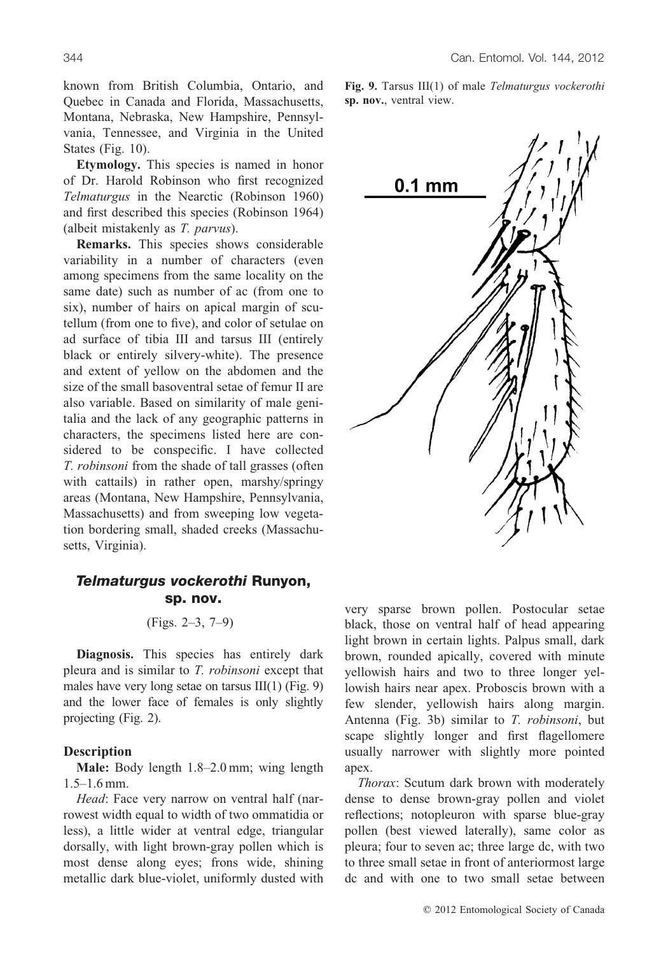**Etymology.** This species is named in honor of Dr. Harold Robinson who first recognized *Telmaturgus* in the Nearctic (Robinson 1960) and first described this species (Robinson 1964) (albeit mistakenly as *T. parvus*).

**Remarks.** This species shows considerable variability in a number of characters (even among specimens from the same locality on the same date) such as number of ac (from one to six), number of hairs on apical margin of scutellum (from one to five), and color of setulae on ad surface of tibia III and tarsus III (entirely black or entirely silvery-white). The presence and extent of yellow on the abdomen and the size of the small basoventral setae of femur II are also variable. Based on similarity of male genitalia and the lack of any geographic patterns in characters, the specimens listed here are considered to be conspecific. I have collected *T. robinsoni* from the shade of tall grasses (often with cattails) in rather open, marshy/springy areas (Montana, New Hampshire, Pennsylvania, Massachusetts) and from sweeping low vegetation bordering small, shaded creeks (Massachusetts, Virginia).

# Telmaturgus vockerothi Runyon, sp. nov.

### (Figs. 2–3, 7–9)

**Diagnosis.** This species has entirely dark pleura and is similar to *T. robinsoni* except that males have very long setae on tarsus III(1) (Fig. 9) and the lower face of females is only slightly projecting (Fig. 2).

### **Description**

**Male:** Body length 1.8–2.0 mm; wing length 1.5–1.6 mm.

*Head*: Face very narrow on ventral half (narrowest width equal to width of two ommatidia or less), a little wider at ventral edge, triangular dorsally, with light brown-gray pollen which is most dense along eyes; frons wide, shining metallic dark blue-violet, uniformly dusted with **Fig. 9.** Tarsus III(1) of male *Telmaturgus vockerothi* **sp. nov.**, ventral view.



very sparse brown pollen. Postocular setae black, those on ventral half of head appearing light brown in certain lights. Palpus small, dark brown, rounded apically, covered with minute yellowish hairs and two to three longer yellowish hairs near apex. Proboscis brown with a few slender, yellowish hairs along margin. Antenna (Fig. 3b) similar to *T. robinsoni*, but scape slightly longer and first flagellomere usually narrower with slightly more pointed apex.

*Thorax*: Scutum dark brown with moderately dense to dense brown-gray pollen and violet reflections; notopleuron with sparse blue-gray pollen (best viewed laterally), same color as pleura; four to seven ac; three large dc, with two to three small setae in front of anteriormost large dc and with one to two small setae between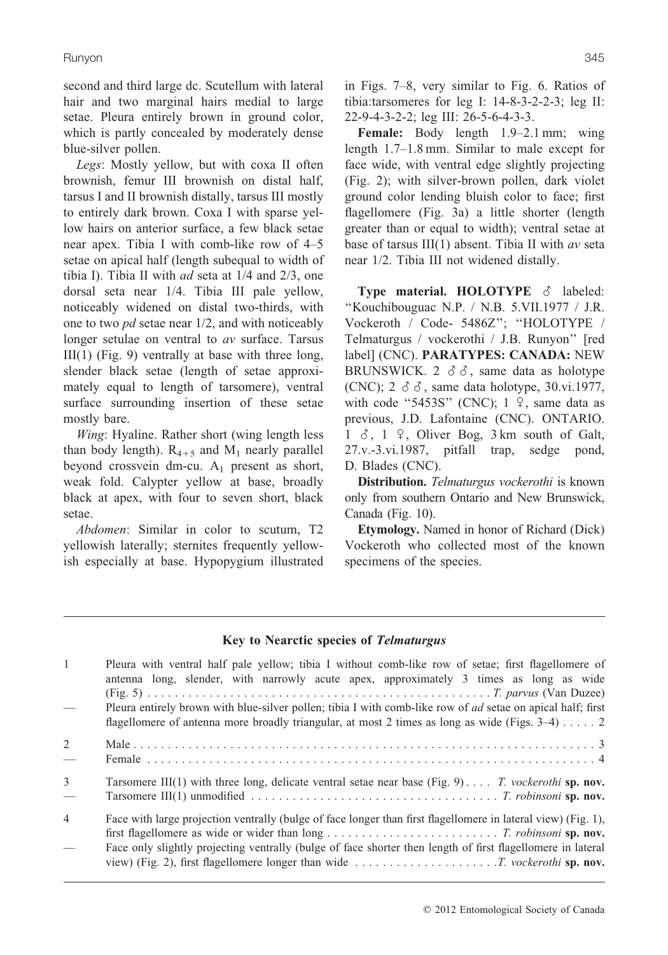second and third large dc. Scutellum with lateral hair and two marginal hairs medial to large setae. Pleura entirely brown in ground color, which is partly concealed by moderately dense blue-silver pollen.

*Legs*: Mostly yellow, but with coxa II often brownish, femur III brownish on distal half, tarsus I and II brownish distally, tarsus III mostly to entirely dark brown. Coxa I with sparse yellow hairs on anterior surface, a few black setae near apex. Tibia I with comb-like row of 4–5 setae on apical half (length subequal to width of tibia I). Tibia II with *ad* seta at 1/4 and 2/3, one dorsal seta near 1/4. Tibia III pale yellow, noticeably widened on distal two-thirds, with one to two *pd* setae near 1/2, and with noticeably longer setulae on ventral to *av* surface. Tarsus  $III(1)$  (Fig. 9) ventrally at base with three long, slender black setae (length of setae approximately equal to length of tarsomere), ventral surface surrounding insertion of these setae mostly bare.

*Wing*: Hyaline. Rather short (wing length less than body length).  $R_{4+5}$  and  $M_1$  nearly parallel beyond crossvein dm-cu.  $A_1$  present as short, weak fold. Calypter yellow at base, broadly black at apex, with four to seven short, black setae.

*Abdomen*: Similar in color to scutum, T2 yellowish laterally; sternites frequently yellowish especially at base. Hypopygium illustrated in Figs. 7–8, very similar to Fig. 6. Ratios of tibia:tarsomeres for leg I: 14-8-3-2-2-3; leg II: 22-9-4-3-2-2; leg III: 26-5-6-4-3-3.

**Female:** Body length 1.9–2.1 mm; wing length 1.7–1.8 mm. Similar to male except for face wide, with ventral edge slightly projecting (Fig. 2); with silver-brown pollen, dark violet ground color lending bluish color to face; first flagellomere (Fig. 3a) a little shorter (length greater than or equal to width); ventral setae at base of tarsus III(1) absent. Tibia II with *av* seta near 1/2. Tibia III not widened distally.

**Type material. HOLOTYPE**  $\delta$  labeled: ''Kouchibouguac N.P. / N.B. 5.VII.1977 / J.R. Vockeroth / Code- 5486Z''; ''HOLOTYPE / Telmaturgus / vockerothi / J.B. Runyon'' [red label] (CNC). **PARATYPES: CANADA:** NEW BRUNSWICK. 2  $\delta \delta$ , same data as holotype (CNC);  $2 \delta \delta$ , same data holotype, 30.vi.1977, with code "5453S" (CNC);  $1 \,$   $\varphi$ , same data as previous, J.D. Lafontaine (CNC). ONTARIO.  $1 \delta$ ,  $1 \Omega$ , Oliver Bog, 3 km south of Galt, 27.v.-3.vi.1987, pitfall trap, sedge pond, D. Blades (CNC).

**Distribution.** *Telmaturgus vockerothi* is known only from southern Ontario and New Brunswick, Canada (Fig. 10).

**Etymology.** Named in honor of Richard (Dick) Vockeroth who collected most of the known specimens of the species.

# **Key to Nearctic species of Telmaturgus**

| Pleura with ventral half pale yellow; tibia I without comb-like row of setae; first flagellomere of<br>antenna long, slender, with narrowly acute apex, approximately 3 times as long as wide                                                                                                                                                      |
|----------------------------------------------------------------------------------------------------------------------------------------------------------------------------------------------------------------------------------------------------------------------------------------------------------------------------------------------------|
| Pleura entirely brown with blue-silver pollen; tibia I with comb-like row of <i>ad</i> setae on apical half; first<br>flagellomere of antenna more broadly triangular, at most 2 times as long as wide (Figs. $3-4$ ) 2                                                                                                                            |
|                                                                                                                                                                                                                                                                                                                                                    |
| Tarsomere III(1) with three long, delicate ventral setae near base (Fig. 9) T. vockerothi sp. nov.                                                                                                                                                                                                                                                 |
| Face with large projection ventrally (bulge of face longer than first flagellomere in lateral view) (Fig. 1),<br>Face only slightly projecting ventrally (bulge of face shorter then length of first flagellomere in lateral<br>view) (Fig. 2), first flagellomere longer than wide $\dots \dots \dots \dots \dots \dots$ . T. vockerothi sp. nov. |
|                                                                                                                                                                                                                                                                                                                                                    |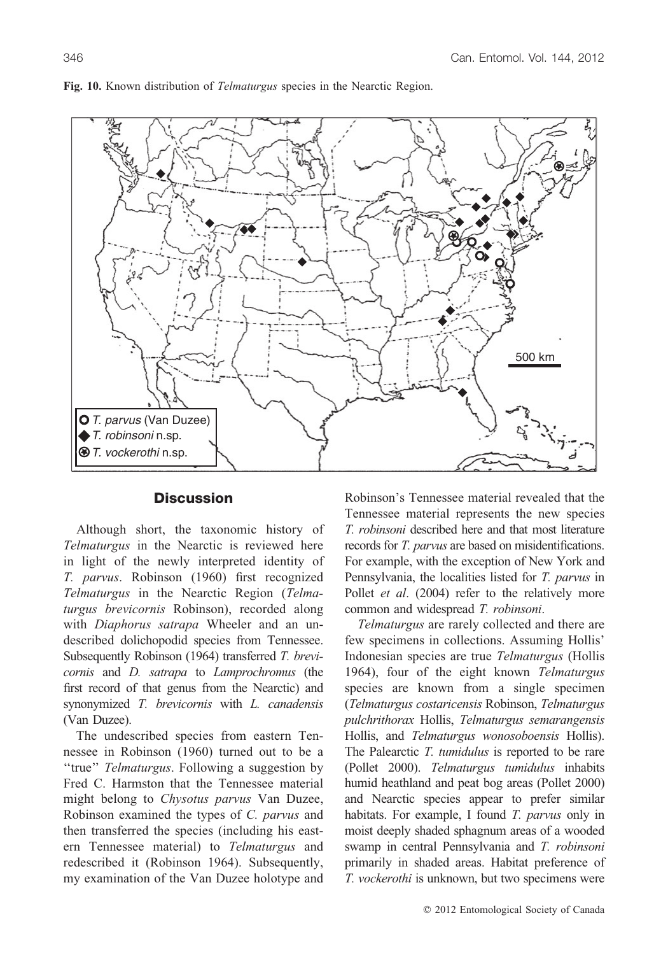

**Fig. 10.** Known distribution of *Telmaturgus* species in the Nearctic Region.

### **Discussion**

Although short, the taxonomic history of *Telmaturgus* in the Nearctic is reviewed here in light of the newly interpreted identity of *T. parvus*. Robinson (1960) first recognized *Telmaturgus* in the Nearctic Region (*Telmaturgus brevicornis* Robinson), recorded along with *Diaphorus satrapa* Wheeler and an undescribed dolichopodid species from Tennessee. Subsequently Robinson (1964) transferred *T. brevicornis* and *D. satrapa* to *Lamprochromus* (the first record of that genus from the Nearctic) and synonymized *T. brevicornis* with *L. canadensis* (Van Duzee).

The undescribed species from eastern Tennessee in Robinson (1960) turned out to be a ''true'' *Telmaturgus*. Following a suggestion by Fred C. Harmston that the Tennessee material might belong to *Chysotus parvus* Van Duzee, Robinson examined the types of *C. parvus* and then transferred the species (including his eastern Tennessee material) to *Telmaturgus* and redescribed it (Robinson 1964). Subsequently, my examination of the Van Duzee holotype and Robinson's Tennessee material revealed that the Tennessee material represents the new species *T. robinsoni* described here and that most literature records for *T. parvus* are based on misidentifications. For example, with the exception of New York and Pennsylvania, the localities listed for *T. parvus* in Pollet *et al.* (2004) refer to the relatively more common and widespread *T. robinsoni*.

*Telmaturgus* are rarely collected and there are few specimens in collections. Assuming Hollis' Indonesian species are true *Telmaturgus* (Hollis 1964), four of the eight known *Telmaturgus* species are known from a single specimen (*Telmaturgus costaricensis* Robinson, *Telmaturgus pulchrithorax* Hollis, *Telmaturgus semarangensis* Hollis, and *Telmaturgus wonosoboensis* Hollis). The Palearctic *T. tumidulus* is reported to be rare (Pollet 2000). *Telmaturgus tumidulus* inhabits humid heathland and peat bog areas (Pollet 2000) and Nearctic species appear to prefer similar habitats. For example, I found *T. parvus* only in moist deeply shaded sphagnum areas of a wooded swamp in central Pennsylvania and *T. robinsoni* primarily in shaded areas. Habitat preference of *T. vockerothi* is unknown, but two specimens were